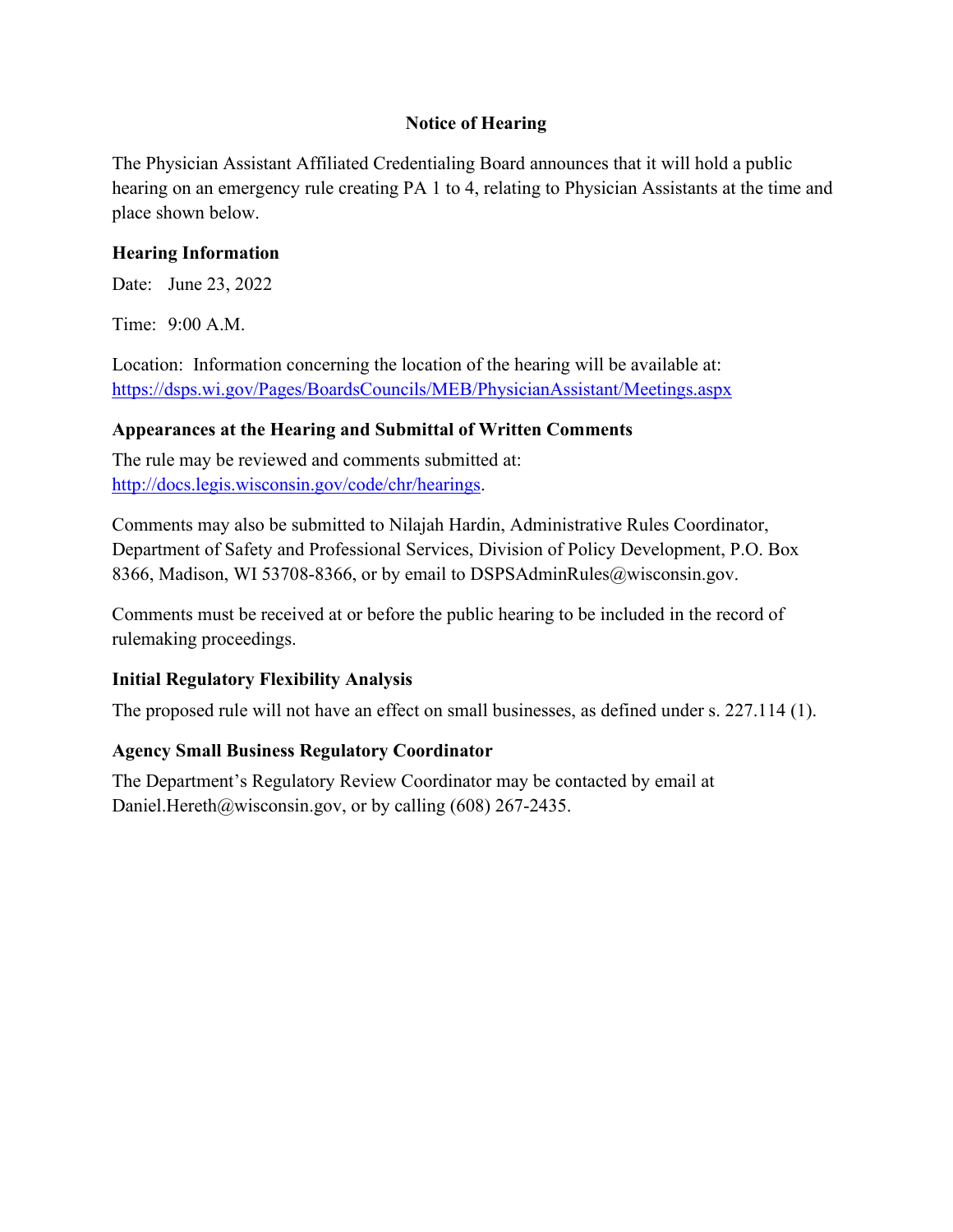# **Notice of Hearing**

The Physician Assistant Affiliated Credentialing Board announces that it will hold a public hearing on an emergency rule creating PA 1 to 4, relating to Physician Assistants at the time and place shown below.

# **Hearing Information**

Date: June 23, 2022

Time: 9:00 A.M.

Location: Information concerning the location of the hearing will be available at: <https://dsps.wi.gov/Pages/BoardsCouncils/MEB/PhysicianAssistant/Meetings.aspx>

# **Appearances at the Hearing and Submittal of Written Comments**

The rule may be reviewed and comments submitted at: [http://docs.legis.wisconsin.gov/code/chr/hearings.](http://docs.legis.wisconsin.gov/code/chr/hearings)

Comments may also be submitted to Nilajah Hardin, Administrative Rules Coordinator, Department of Safety and Professional Services, Division of Policy Development, P.O. Box 8366, Madison, WI 53708-8366, or by email to DSPSAdminRules@wisconsin.gov.

Comments must be received at or before the public hearing to be included in the record of rulemaking proceedings.

# **Initial Regulatory Flexibility Analysis**

The proposed rule will not have an effect on small businesses, as defined under s. 227.114 (1).

# **Agency Small Business Regulatory Coordinator**

The Department's Regulatory Review Coordinator may be contacted by email at Daniel.Hereth@wisconsin.gov, or by calling (608) 267-2435.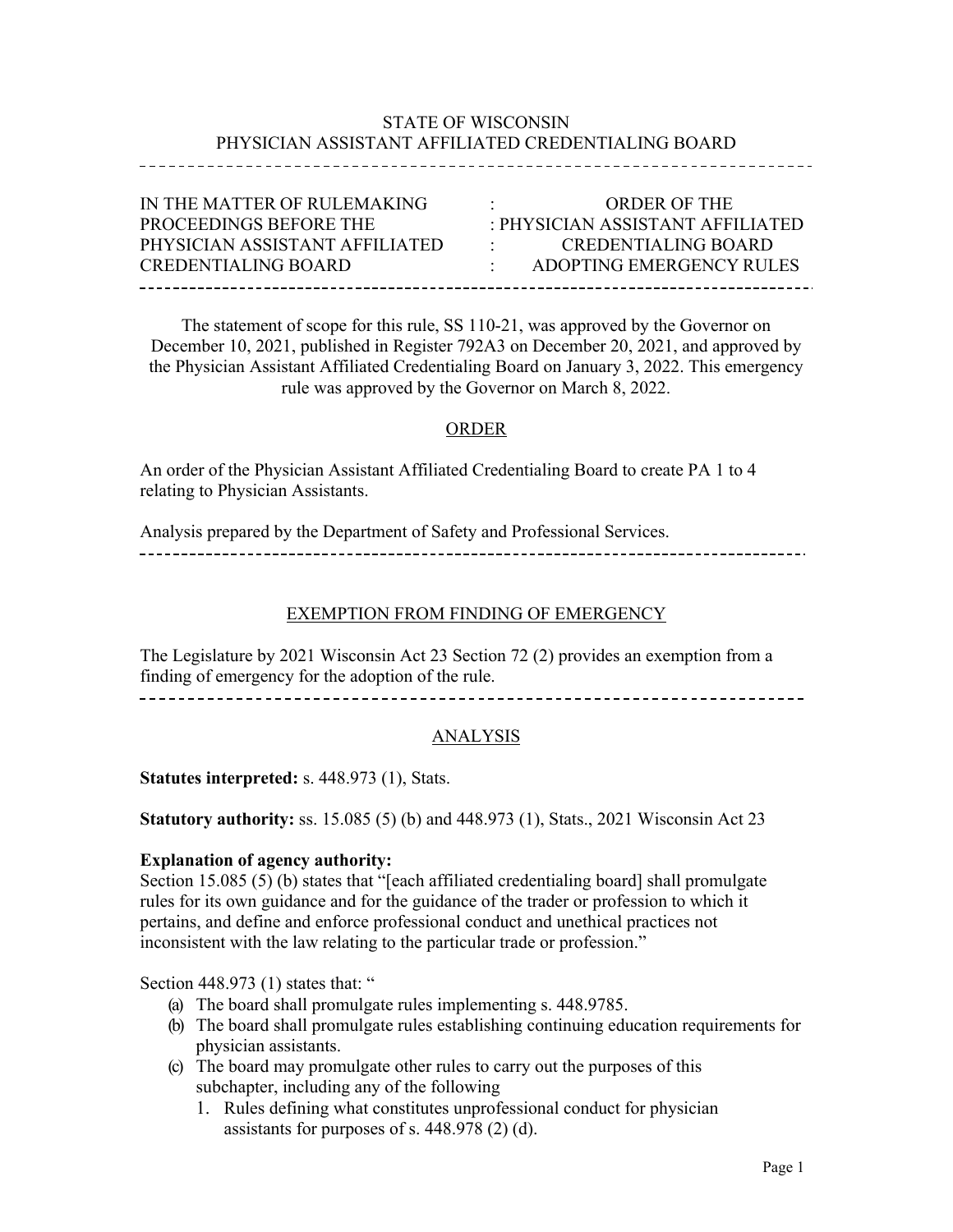# STATE OF WISCONSIN PHYSICIAN ASSISTANT AFFILIATED CREDENTIALING BOARD

| IN THE MATTER OF RULEMAKING<br><b>ORDER OF THE</b><br>$\bullet$<br><b>PROCEEDINGS BEFORE THE</b><br>$\cdot$ PHYSICIAN ASSISTANT AFFILIATED. |  |
|---------------------------------------------------------------------------------------------------------------------------------------------|--|
| PHYSICIAN ASSISTANT AFFILIATED<br>CREDENTIALING BOARD<br>the company of the company                                                         |  |
| CREDENTIALING BOARD<br>ADOPTING EMERGENCY RULES                                                                                             |  |

The statement of scope for this rule, SS 110-21, was approved by the Governor on December 10, 2021, published in Register 792A3 on December 20, 2021, and approved by the Physician Assistant Affiliated Credentialing Board on January 3, 2022. This emergency rule was approved by the Governor on March 8, 2022.

## ORDER

An order of the Physician Assistant Affiliated Credentialing Board to create PA 1 to 4 relating to Physician Assistants.

Analysis prepared by the Department of Safety and Professional Services. 

## EXEMPTION FROM FINDING OF EMERGENCY

The Legislature by 2021 Wisconsin Act 23 Section 72 (2) provides an exemption from a finding of emergency for the adoption of the rule.

## **ANALYSIS**

#### **Statutes interpreted:** s. 448.973 (1), Stats.

**Statutory authority:** ss. 15.085 (5) (b) and 448.973 (1), Stats., 2021 Wisconsin Act 23

#### **Explanation of agency authority:**

Section 15.085 (5) (b) states that "[each affiliated credentialing board] shall promulgate rules for its own guidance and for the guidance of the trader or profession to which it pertains, and define and enforce professional conduct and unethical practices not inconsistent with the law relating to the particular trade or profession."

Section 448.973 (1) states that: "

- (a) The board shall promulgate rules implementing s. 448.9785.
- (b) The board shall promulgate rules establishing continuing education requirements for physician assistants.
- (c) The board may promulgate other rules to carry out the purposes of this subchapter, including any of the following
	- 1. Rules defining what constitutes unprofessional conduct for physician assistants for purposes of s. 448.978 (2) (d).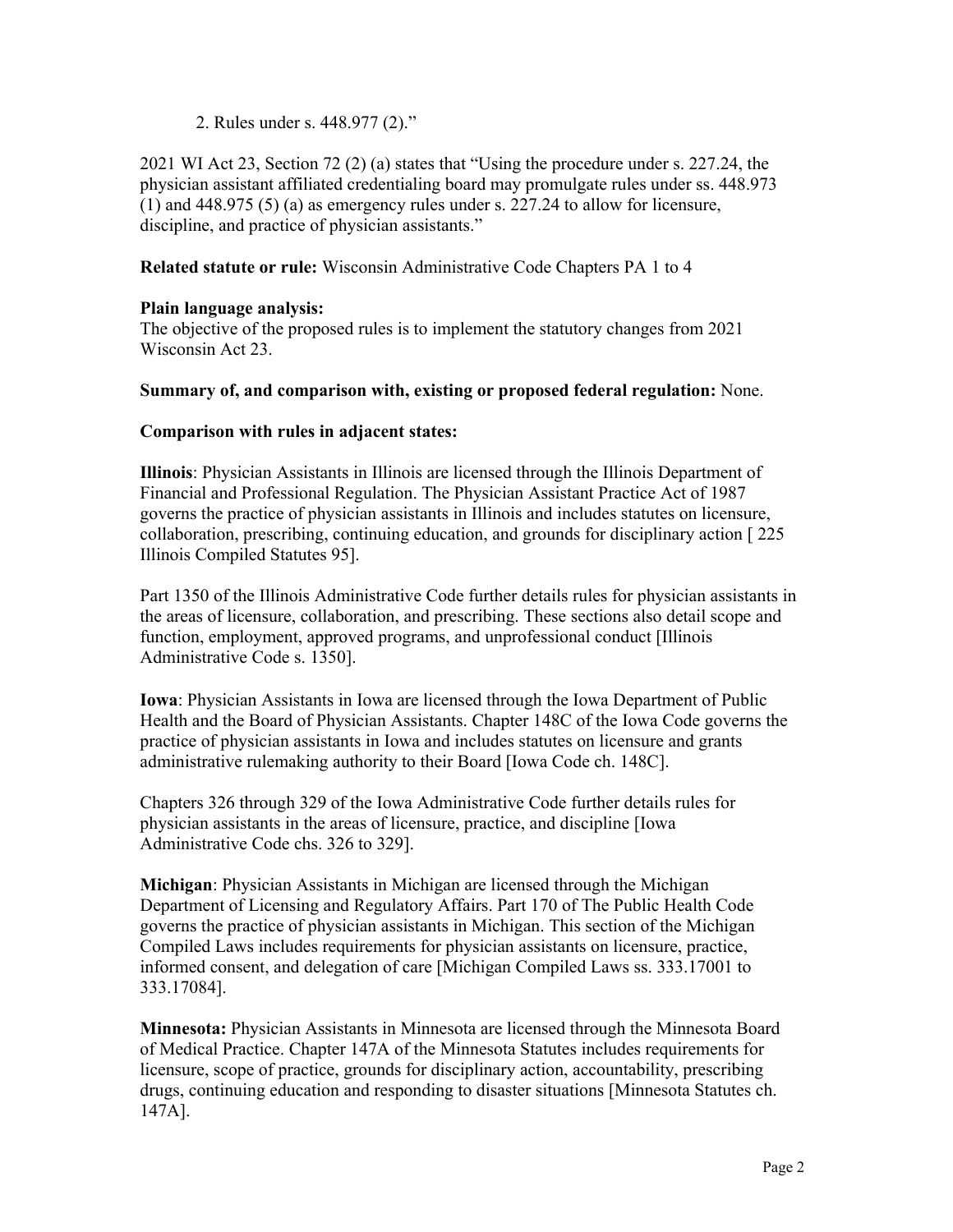2. Rules under s. 448.977 (2)."

2021 WI Act 23, Section 72 (2) (a) states that "Using the procedure under s. 227.24, the physician assistant affiliated credentialing board may promulgate rules under ss. 448.973 (1) and 448.975 (5) (a) as emergency rules under s. 227.24 to allow for licensure, discipline, and practice of physician assistants."

**Related statute or rule:** Wisconsin Administrative Code Chapters PA 1 to 4

### **Plain language analysis:**

The objective of the proposed rules is to implement the statutory changes from 2021 Wisconsin Act 23.

### **Summary of, and comparison with, existing or proposed federal regulation:** None.

### **Comparison with rules in adjacent states:**

**Illinois**: Physician Assistants in Illinois are licensed through the Illinois Department of Financial and Professional Regulation. The Physician Assistant Practice Act of 1987 governs the practice of physician assistants in Illinois and includes statutes on licensure, collaboration, prescribing, continuing education, and grounds for disciplinary action [ 225 Illinois Compiled Statutes 95].

Part 1350 of the Illinois Administrative Code further details rules for physician assistants in the areas of licensure, collaboration, and prescribing. These sections also detail scope and function, employment, approved programs, and unprofessional conduct [Illinois Administrative Code s. 1350].

**Iowa**: Physician Assistants in Iowa are licensed through the Iowa Department of Public Health and the Board of Physician Assistants. Chapter 148C of the Iowa Code governs the practice of physician assistants in Iowa and includes statutes on licensure and grants administrative rulemaking authority to their Board [Iowa Code ch. 148C].

Chapters 326 through 329 of the Iowa Administrative Code further details rules for physician assistants in the areas of licensure, practice, and discipline [Iowa Administrative Code chs. 326 to 329].

**Michigan**: Physician Assistants in Michigan are licensed through the Michigan Department of Licensing and Regulatory Affairs. Part 170 of The Public Health Code governs the practice of physician assistants in Michigan. This section of the Michigan Compiled Laws includes requirements for physician assistants on licensure, practice, informed consent, and delegation of care [Michigan Compiled Laws ss. 333.17001 to 333.17084].

**Minnesota:** Physician Assistants in Minnesota are licensed through the Minnesota Board of Medical Practice. Chapter 147A of the Minnesota Statutes includes requirements for licensure, scope of practice, grounds for disciplinary action, accountability, prescribing drugs, continuing education and responding to disaster situations [Minnesota Statutes ch. 147A].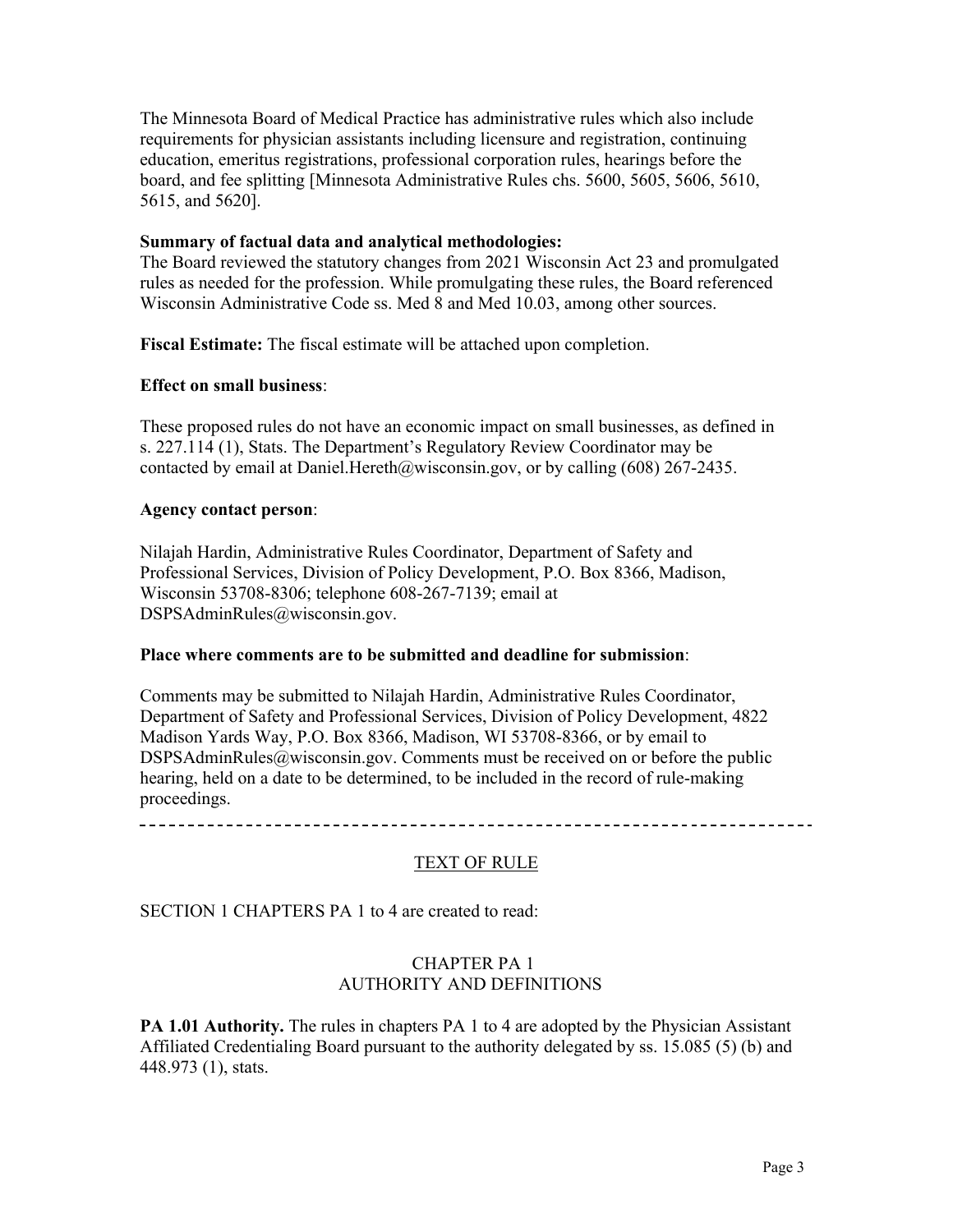The Minnesota Board of Medical Practice has administrative rules which also include requirements for physician assistants including licensure and registration, continuing education, emeritus registrations, professional corporation rules, hearings before the board, and fee splitting [Minnesota Administrative Rules chs. 5600, 5605, 5606, 5610, 5615, and 5620].

#### **Summary of factual data and analytical methodologies:**

The Board reviewed the statutory changes from 2021 Wisconsin Act 23 and promulgated rules as needed for the profession. While promulgating these rules, the Board referenced Wisconsin Administrative Code ss. Med 8 and Med 10.03, among other sources.

**Fiscal Estimate:** The fiscal estimate will be attached upon completion.

### **Effect on small business**:

These proposed rules do not have an economic impact on small businesses, as defined in s. 227.114 (1), Stats. The Department's Regulatory Review Coordinator may be contacted by ema[il at Daniel.Hereth@wisconsin.gov,](mailto:Daniel.Hereth@wisconsin.gov) or by calling (608) 267-2435.

### **Agency contact person**:

Nilajah Hardin, Administrative Rules Coordinator, Department of Safety and Professional Services, Division of Policy Development, P[.O. Box 8366, Madison,](mailto:DSPSAdminRules@wisconsin.gov)  Wisconsin 53708-8306; telephone 608-267-7139; email at [DSPSAdminRules@wisconsin.gov.](mailto:DSPSAdminRules@wisconsin.gov)

#### **Place where comments are to be submitted and deadline for submission**:

Comments may be submitted to Nilajah Hardin, Administrative Rules Coordinator, Department of Safety and Professional Services, Division of Policy Development, 4822 Madison Yards Way, P.O. Box 8366, Madison, WI 53708-8366, or by email t[o](mailto:DSPSAdminRules@wisconsin.gov) [DSPSAdminRules@wisconsin.gov.](mailto:DSPSAdminRules@wisconsin.gov) Comments must be received on or before the public hearing, held on a date to be determined, to be included in the record of rule-making proceedings.

## TEXT OF RULE

SECTION 1 CHAPTERS PA 1 to 4 are created to read:

### CHAPTER PA 1 AUTHORITY AND DEFINITIONS

**PA 1.01 Authority.** The rules in chapters PA 1 to 4 are adopted by the Physician Assistant Affiliated Credentialing Board pursuant to the authority delegated by ss. 15.085 (5) (b) and 448.973 (1), stats.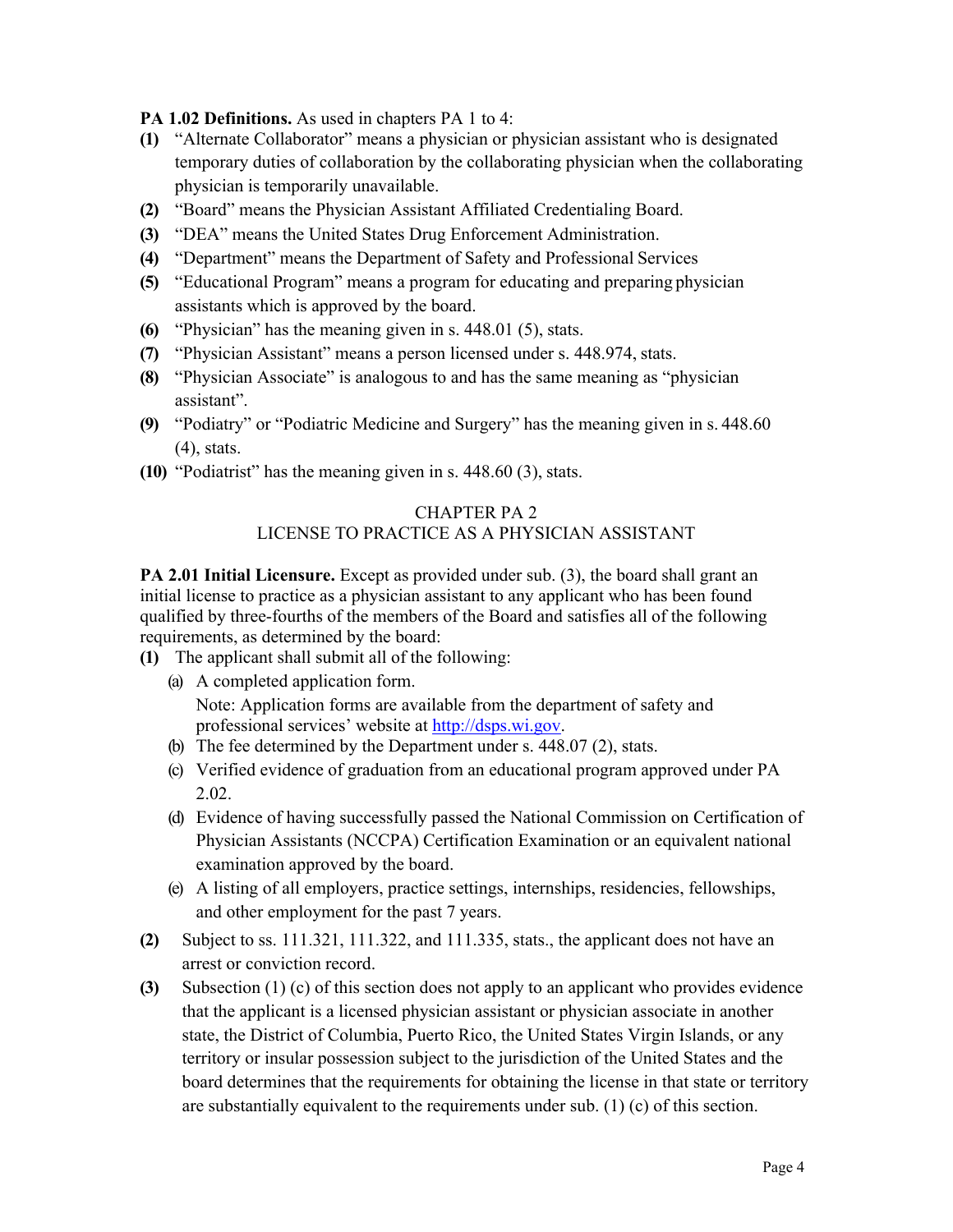**PA 1.02 Definitions.** As used in chapters PA 1 to 4:

- **(1)** "Alternate Collaborator" means a physician or physician assistant who is designated temporary duties of collaboration by the collaborating physician when the collaborating physician is temporarily unavailable.
- **(2)** "Board" means the Physician Assistant Affiliated Credentialing Board.
- **(3)** "DEA" means the United States Drug Enforcement Administration.
- **(4)** "Department" means the Department of Safety and Professional Services
- **(5)** "Educational Program" means a program for educating and preparing physician assistants which is approved by the board.
- **(6)** "Physician" has the meaning given in s. 448.01 (5), stats.
- **(7)** "Physician Assistant" means a person licensed under s. 448.974, stats.
- **(8)** "Physician Associate" is analogous to and has the same meaning as "physician assistant".
- **(9)** "Podiatry" or "Podiatric Medicine and Surgery" has the meaning given in s. 448.60 (4), stats.
- **(10)** "Podiatrist" has the meaning given in s. 448.60 (3), stats.

## CHAPTER PA 2 LICENSE TO PRACTICE AS A PHYSICIAN ASSISTANT

**PA 2.01 Initial Licensure.** Except as provided under sub. (3), the board shall grant an initial license to practice as a physician assistant to any applicant who has been found qualified by three-fourths of the members of the Board and satisfies all of the following requirements, as determined by the board:

- **(1)** The applicant shall submit all of the following:
	- (a) A completed application form. Note: Application forms are available from the department of safety and professional services' website at [http://dsps.wi.gov.](http://dsps.wi.gov/)
	- (b) The fee determined by the Department under s. 448.07 (2), stats.
	- (c) Verified evidence of graduation from an educational program approved under PA 2.02.
	- (d) Evidence of having successfully passed the National Commission on Certification of Physician Assistants (NCCPA) Certification Examination or an equivalent national examination approved by the board.
	- (e) A listing of all employers, practice settings, internships, residencies, fellowships, and other employment for the past 7 years.
- **(2)** Subject to ss. 111.321, 111.322, and 111.335, stats., the applicant does not have an arrest or conviction record.
- **(3)** Subsection (1) (c) of this section does not apply to an applicant who provides evidence that the applicant is a licensed physician assistant or physician associate in another state, the District of Columbia, Puerto Rico, the United States Virgin Islands, or any territory or insular possession subject to the jurisdiction of the United States and the board determines that the requirements for obtaining the license in that state or territory are substantially equivalent to the requirements under sub. (1) (c) of this section.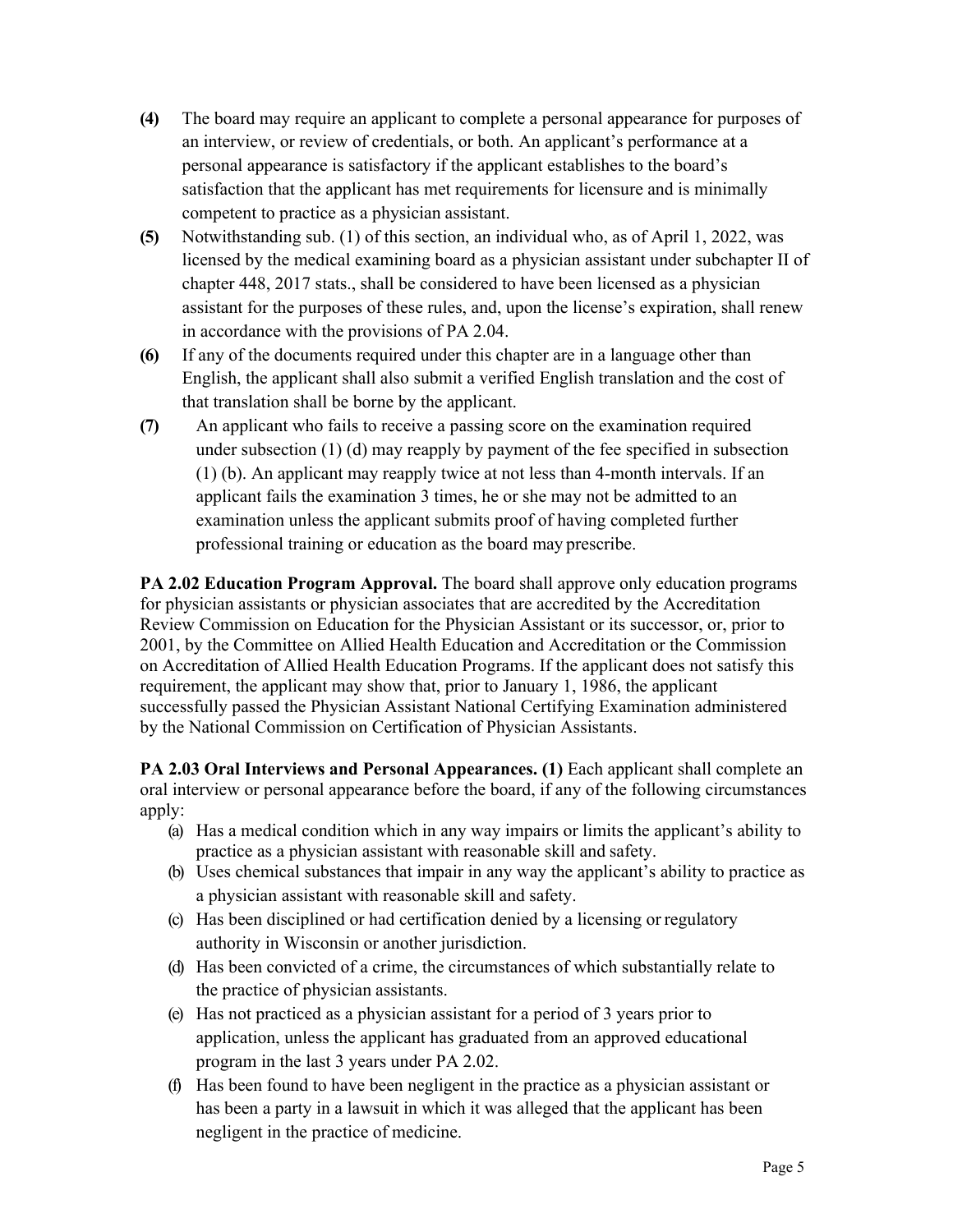- **(4)** The board may require an applicant to complete a personal appearance for purposes of an interview, or review of credentials, or both. An applicant's performance at a personal appearance is satisfactory if the applicant establishes to the board's satisfaction that the applicant has met requirements for licensure and is minimally competent to practice as a physician assistant.
- **(5)** Notwithstanding sub. (1) of this section, an individual who, as of April 1, 2022, was licensed by the medical examining board as a physician assistant under subchapter II of chapter 448, 2017 stats., shall be considered to have been licensed as a physician assistant for the purposes of these rules, and, upon the license's expiration, shall renew in accordance with the provisions of PA 2.04.
- **(6)** If any of the documents required under this chapter are in a language other than English, the applicant shall also submit a verified English translation and the cost of that translation shall be borne by the applicant.
- **(7)** An applicant who fails to receive a passing score on the examination required under subsection (1) (d) may reapply by payment of the fee specified in subsection (1) (b). An applicant may reapply twice at not less than 4-month intervals. If an applicant fails the examination 3 times, he or she may not be admitted to an examination unless the applicant submits proof of having completed further professional training or education as the board may prescribe.

**PA 2.02 Education Program Approval.** The board shall approve only education programs for physician assistants or physician associates that are accredited by the Accreditation Review Commission on Education for the Physician Assistant or its successor, or, prior to 2001, by the Committee on Allied Health Education and Accreditation or the Commission on Accreditation of Allied Health Education Programs. If the applicant does not satisfy this requirement, the applicant may show that, prior to January 1, 1986, the applicant successfully passed the Physician Assistant National Certifying Examination administered by the National Commission on Certification of Physician Assistants.

**PA 2.03 Oral Interviews and Personal Appearances. (1) Each applicant shall complete an** oral interview or personal appearance before the board, if any of the following circumstances apply:

- (a) Has a medical condition which in any way impairs or limits the applicant's ability to practice as a physician assistant with reasonable skill and safety.
- (b) Uses chemical substances that impair in any way the applicant's ability to practice as a physician assistant with reasonable skill and safety.
- (c) Has been disciplined or had certification denied by a licensing or regulatory authority in Wisconsin or another jurisdiction.
- (d) Has been convicted of a crime, the circumstances of which substantially relate to the practice of physician assistants.
- (e) Has not practiced as a physician assistant for a period of 3 years prior to application, unless the applicant has graduated from an approved educational program in the last 3 years under PA 2.02.
- (f) Has been found to have been negligent in the practice as a physician assistant or has been a party in a lawsuit in which it was alleged that the applicant has been negligent in the practice of medicine.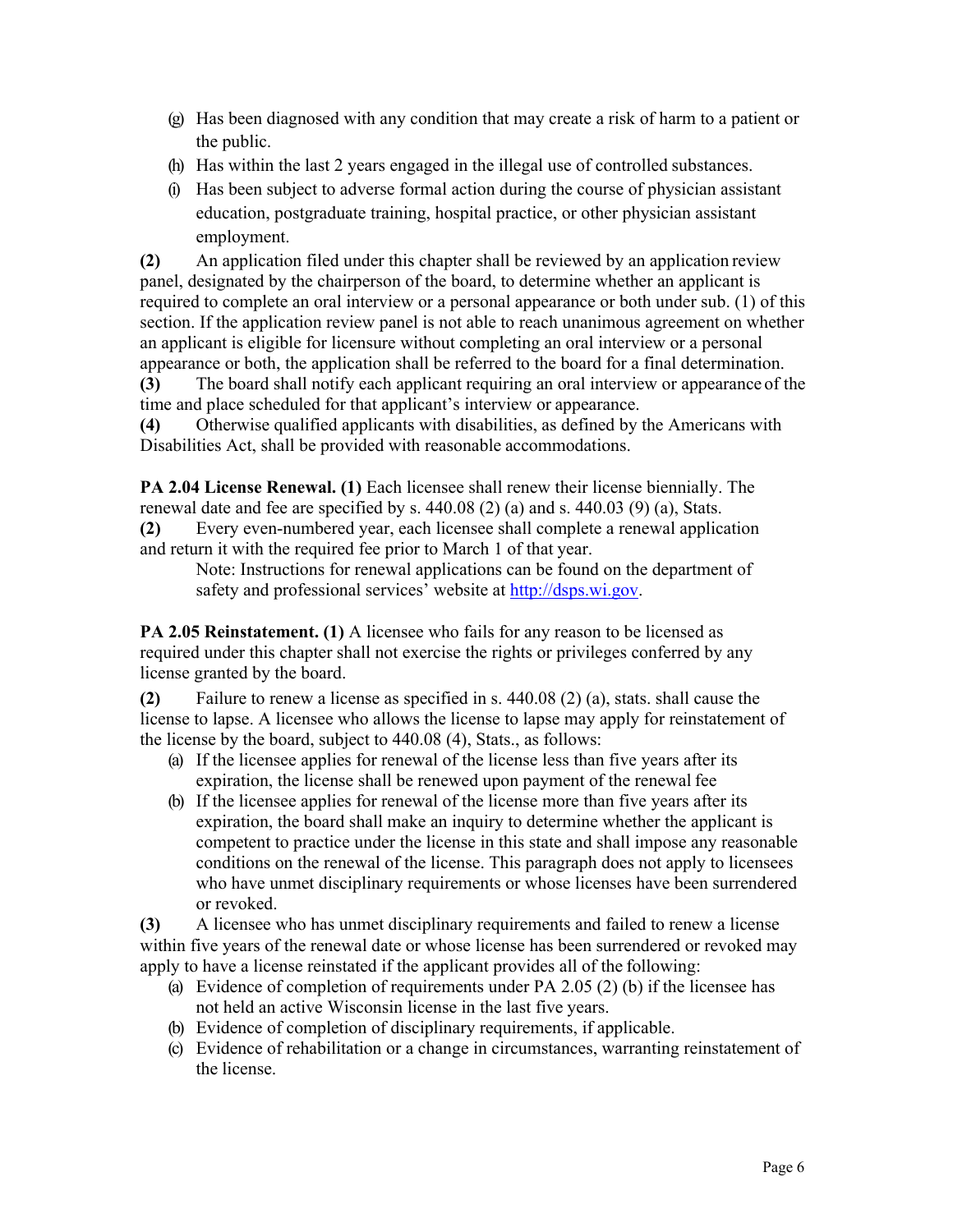- (g) Has been diagnosed with any condition that may create a risk of harm to a patient or the public.
- (h) Has within the last 2 years engaged in the illegal use of controlled substances.
- (i) Has been subject to adverse formal action during the course of physician assistant education, postgraduate training, hospital practice, or other physician assistant employment.

**(2)** An application filed under this chapter shall be reviewed by an application review panel, designated by the chairperson of the board, to determine whether an applicant is required to complete an oral interview or a personal appearance or both under sub. (1) of this section. If the application review panel is not able to reach unanimous agreement on whether an applicant is eligible for licensure without completing an oral interview or a personal appearance or both, the application shall be referred to the board for a final determination.

**(3)** The board shall notify each applicant requiring an oral interview or appearance of the time and place scheduled for that applicant's interview or appearance.

**(4)** Otherwise qualified applicants with disabilities, as defined by the Americans with Disabilities Act, shall be provided with reasonable accommodations.

**PA 2.04 License Renewal. (1)** Each licensee shall renew their license biennially. The renewal date and fee are specified by s. 440.08 (2) (a) and s. 440.03 (9) (a), Stats.

**(2)** Every even-numbered year, each licensee shall complete a renewal application and return it with the required fee prior to March 1 of that year.

Note: Instructions for renewal applications can be found on the department of safety and professional services' website at [http://dsps.wi.gov.](http://dsps.wi.gov/)

**PA 2.05 Reinstatement. (1)** A licensee who fails for any reason to be licensed as required under this chapter shall not exercise the rights or privileges conferred by any license granted by the board.

**(2)** Failure to renew a license as specified in s. 440.08 (2) (a), stats. shall cause the license to lapse. A licensee who allows the license to lapse may apply for reinstatement of the license by the board, subject to 440.08 (4), Stats., as follows:

- (a) If the licensee applies for renewal of the license less than five years after its expiration, the license shall be renewed upon payment of the renewal fee
- (b) If the licensee applies for renewal of the license more than five years after its expiration, the board shall make an inquiry to determine whether the applicant is competent to practice under the license in this state and shall impose any reasonable conditions on the renewal of the license. This paragraph does not apply to licensees who have unmet disciplinary requirements or whose licenses have been surrendered or revoked.

**(3)** A licensee who has unmet disciplinary requirements and failed to renew a license within five years of the renewal date or whose license has been surrendered or revoked may apply to have a license reinstated if the applicant provides all of the following:

- (a) Evidence of completion of requirements under PA 2.05 (2) (b) if the licensee has not held an active Wisconsin license in the last five years.
- (b) Evidence of completion of disciplinary requirements, if applicable.
- (c) Evidence of rehabilitation or a change in circumstances, warranting reinstatement of the license.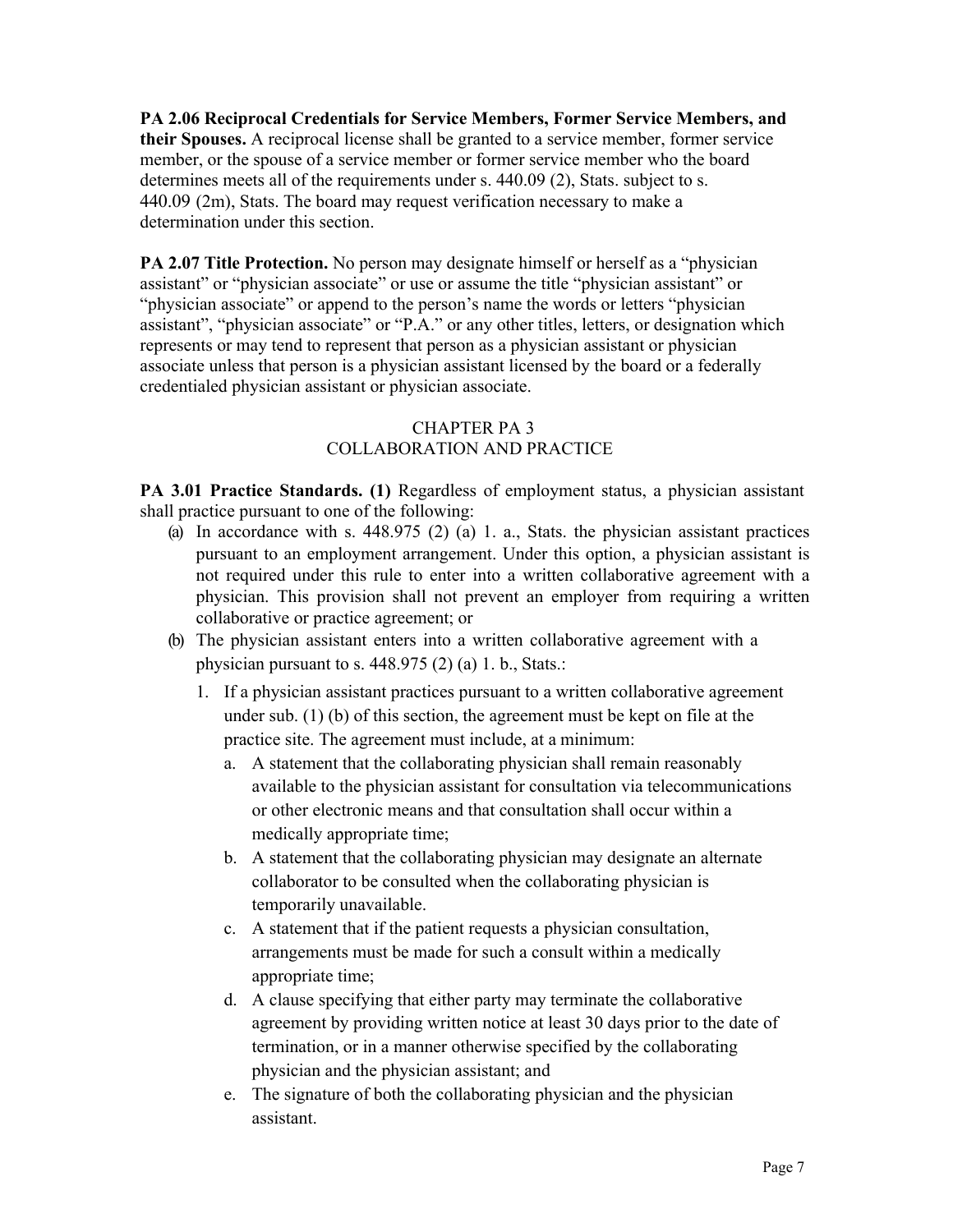**PA 2.06 Reciprocal Credentials for Service Members, Former Service Members, and their Spouses.** A reciprocal license shall be granted to a service member, former service member, or the spouse of a service member or former service member who the board determines meets all of the requirements under s. 440.09 (2), Stats. subject to s. 440.09 (2m), Stats. The board may request verification necessary to make a determination under this section.

**PA 2.07 Title Protection.** No person may designate himself or herself as a "physician assistant" or "physician associate" or use or assume the title "physician assistant" or "physician associate" or append to the person's name the words or letters "physician" assistant", "physician associate" or "P.A." or any other titles, letters, or designation which represents or may tend to represent that person as a physician assistant or physician associate unless that person is a physician assistant licensed by the board or a federally credentialed physician assistant or physician associate.

## CHAPTER PA 3 COLLABORATION AND PRACTICE

**PA 3.01 Practice Standards. (1)** Regardless of employment status, a physician assistant shall practice pursuant to one of the following:

- (a) In accordance with s.  $448.975$  (2) (a) 1. a., Stats. the physician assistant practices pursuant to an employment arrangement. Under this option, a physician assistant is not required under this rule to enter into a written collaborative agreement with a physician. This provision shall not prevent an employer from requiring a written collaborative or practice agreement; or
- (b) The physician assistant enters into a written collaborative agreement with a physician pursuant to s.  $448.975(2)$  (a) 1. b., Stats.:
	- 1. If a physician assistant practices pursuant to a written collaborative agreement under sub. (1) (b) of this section, the agreement must be kept on file at the practice site. The agreement must include, at a minimum:
		- a. A statement that the collaborating physician shall remain reasonably available to the physician assistant for consultation via telecommunications or other electronic means and that consultation shall occur within a medically appropriate time;
		- b. A statement that the collaborating physician may designate an alternate collaborator to be consulted when the collaborating physician is temporarily unavailable.
		- c. A statement that if the patient requests a physician consultation, arrangements must be made for such a consult within a medically appropriate time;
		- d. A clause specifying that either party may terminate the collaborative agreement by providing written notice at least 30 days prior to the date of termination, or in a manner otherwise specified by the collaborating physician and the physician assistant; and
		- e. The signature of both the collaborating physician and the physician assistant.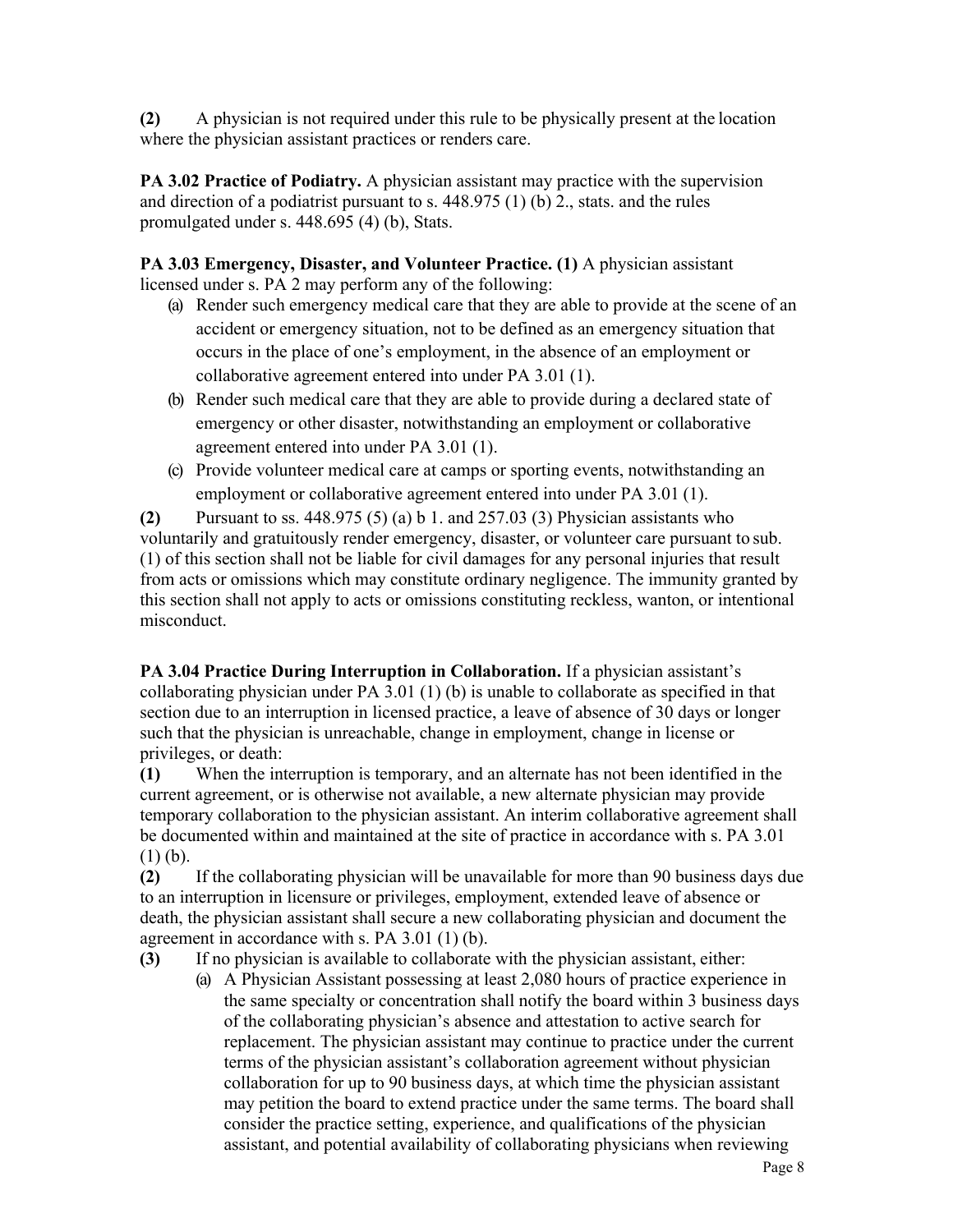**(2)** A physician is not required under this rule to be physically present at the location where the physician assistant practices or renders care.

**PA 3.02 Practice of Podiatry.** A physician assistant may practice with the supervision and direction of a podiatrist pursuant to s. 448.975 (1) (b) 2., stats. and the rules promulgated under s. 448.695 (4) (b), Stats.

**PA 3.03 Emergency, Disaster, and Volunteer Practice. (1)** A physician assistant licensed under s. PA 2 may perform any of the following:

- (a) Render such emergency medical care that they are able to provide at the scene of an accident or emergency situation, not to be defined as an emergency situation that occurs in the place of one's employment, in the absence of an employment or collaborative agreement entered into under PA 3.01 (1).
- (b) Render such medical care that they are able to provide during a declared state of emergency or other disaster, notwithstanding an employment or collaborative agreement entered into under PA 3.01 (1).
- (c) Provide volunteer medical care at camps or sporting events, notwithstanding an employment or collaborative agreement entered into under PA 3.01 (1).

**(2)** Pursuant to ss. 448.975 (5) (a) b 1. and 257.03 (3) Physician assistants who voluntarily and gratuitously render emergency, disaster, or volunteer care pursuant to sub. (1) of this section shall not be liable for civil damages for any personal injuries that result from acts or omissions which may constitute ordinary negligence. The immunity granted by this section shall not apply to acts or omissions constituting reckless, wanton, or intentional misconduct.

**PA 3.04 Practice During Interruption in Collaboration.** If a physician assistant's collaborating physician under PA 3.01 (1) (b) is unable to collaborate as specified in that section due to an interruption in licensed practice, a leave of absence of 30 days or longer such that the physician is unreachable, change in employment, change in license or privileges, or death:

**(1)** When the interruption is temporary, and an alternate has not been identified in the current agreement, or is otherwise not available, a new alternate physician may provide temporary collaboration to the physician assistant. An interim collaborative agreement shall be documented within and maintained at the site of practice in accordance with s. PA 3.01  $(1)$  (b).

**(2)** If the collaborating physician will be unavailable for more than 90 business days due to an interruption in licensure or privileges, employment, extended leave of absence or death, the physician assistant shall secure a new collaborating physician and document the agreement in accordance with s. PA 3.01 (1) (b).

**(3)** If no physician is available to collaborate with the physician assistant, either:

(a) A Physician Assistant possessing at least 2,080 hours of practice experience in the same specialty or concentration shall notify the board within 3 business days of the collaborating physician's absence and attestation to active search for replacement. The physician assistant may continue to practice under the current terms of the physician assistant's collaboration agreement without physician collaboration for up to 90 business days, at which time the physician assistant may petition the board to extend practice under the same terms. The board shall consider the practice setting, experience, and qualifications of the physician assistant, and potential availability of collaborating physicians when reviewing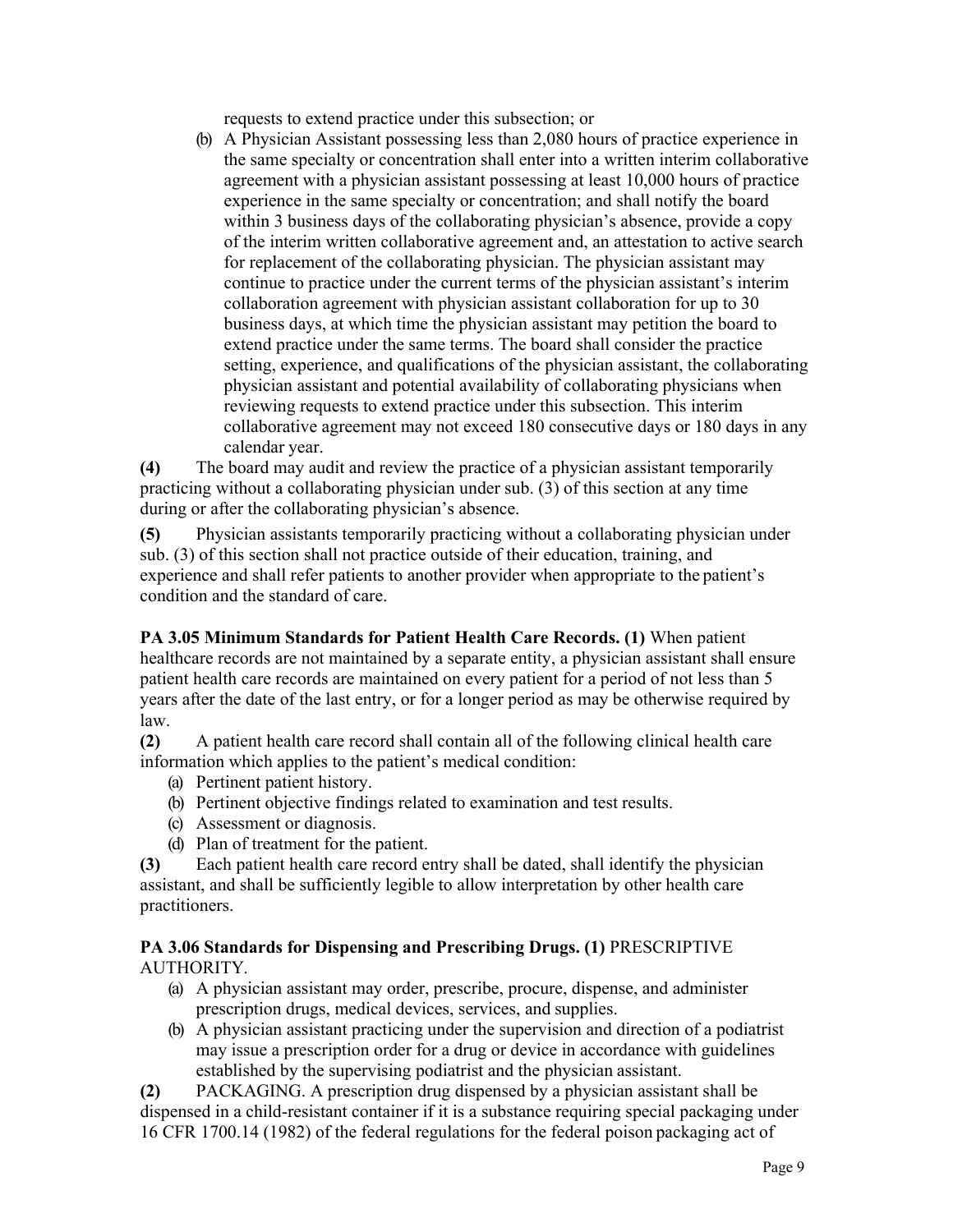requests to extend practice under this subsection; or

(b) A Physician Assistant possessing less than 2,080 hours of practice experience in the same specialty or concentration shall enter into a written interim collaborative agreement with a physician assistant possessing at least 10,000 hours of practice experience in the same specialty or concentration; and shall notify the board within 3 business days of the collaborating physician's absence, provide a copy of the interim written collaborative agreement and, an attestation to active search for replacement of the collaborating physician. The physician assistant may continue to practice under the current terms of the physician assistant's interim collaboration agreement with physician assistant collaboration for up to 30 business days, at which time the physician assistant may petition the board to extend practice under the same terms. The board shall consider the practice setting, experience, and qualifications of the physician assistant, the collaborating physician assistant and potential availability of collaborating physicians when reviewing requests to extend practice under this subsection. This interim collaborative agreement may not exceed 180 consecutive days or 180 days in any calendar year.

**(4)** The board may audit and review the practice of a physician assistant temporarily practicing without a collaborating physician under sub. (3) of this section at any time during or after the collaborating physician's absence.

**(5)** Physician assistants temporarily practicing without a collaborating physician under sub. (3) of this section shall not practice outside of their education, training, and experience and shall refer patients to another provider when appropriate to the patient's condition and the standard of care.

**PA 3.05 Minimum Standards for Patient Health Care Records. (1)** When patient healthcare records are not maintained by a separate entity, a physician assistant shall ensure patient health care records are maintained on every patient for a period of not less than 5 years after the date of the last entry, or for a longer period as may be otherwise required by law.

**(2)** A patient health care record shall contain all of the following clinical health care information which applies to the patient's medical condition:

- (a) Pertinent patient history.
- (b) Pertinent objective findings related to examination and test results.
- (c) Assessment or diagnosis.
- (d) Plan of treatment for the patient.

**(3)** Each patient health care record entry shall be dated, shall identify the physician assistant, and shall be sufficiently legible to allow interpretation by other health care practitioners.

## **PA 3.06 Standards for Dispensing and Prescribing Drugs. (1)** PRESCRIPTIVE AUTHORITY*.*

- (a) A physician assistant may order, prescribe, procure, dispense, and administer prescription drugs, medical devices, services, and supplies.
- (b) A physician assistant practicing under the supervision and direction of a podiatrist may issue a prescription order for a drug or device in accordance with guidelines established by the supervising podiatrist and the physician assistant.

**(2)** PACKAGING. A prescription drug dispensed by a physician assistant shall be dispensed in a child-resistant container if it is a substance requiring special packaging under 16 CFR 1700.14 (1982) of the federal regulations for the federal poison packaging act of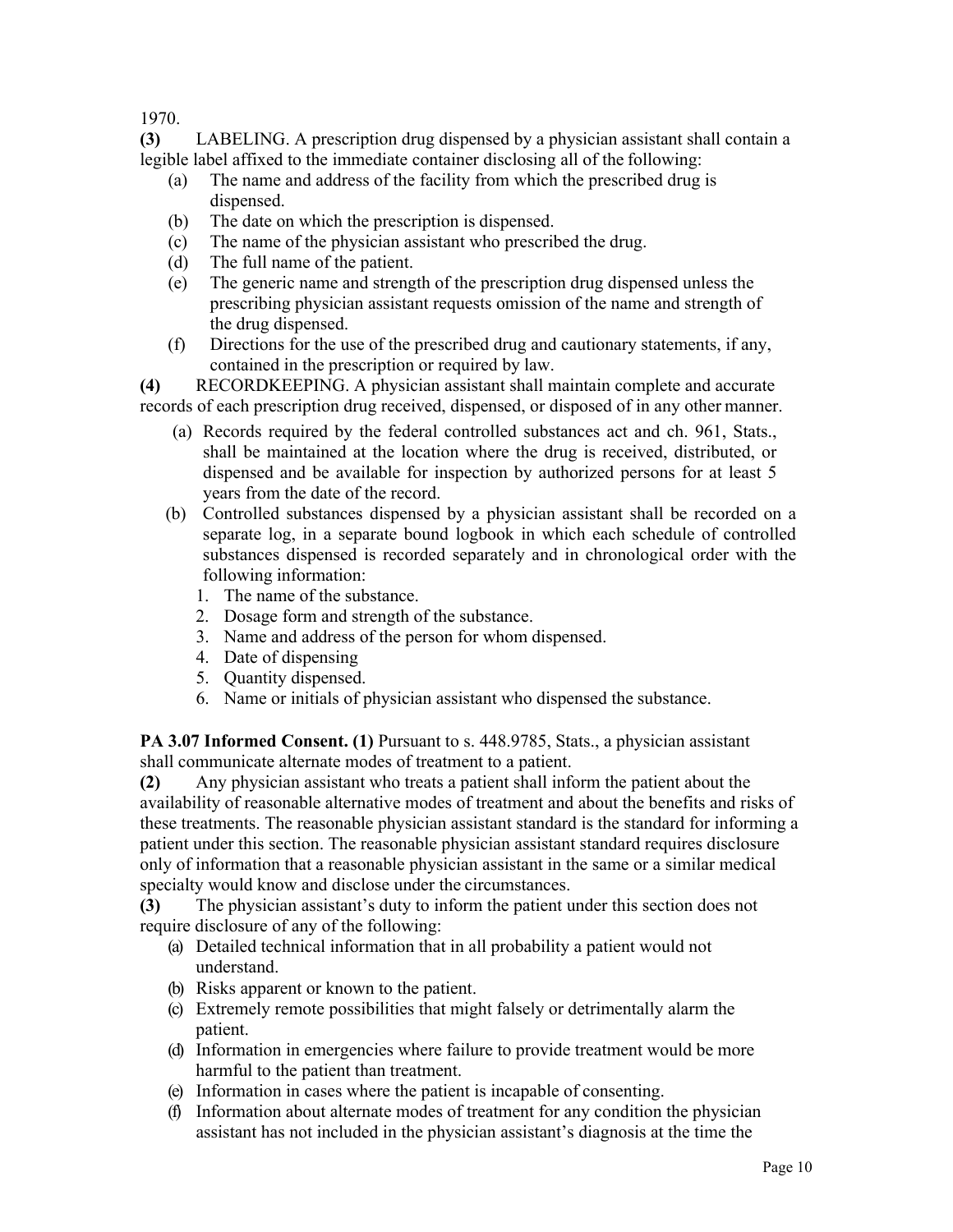1970.

**(3)** LABELING. A prescription drug dispensed by a physician assistant shall contain a legible label affixed to the immediate container disclosing all of the following:

- (a) The name and address of the facility from which the prescribed drug is dispensed.
- (b) The date on which the prescription is dispensed.
- (c) The name of the physician assistant who prescribed the drug.
- (d) The full name of the patient.
- (e) The generic name and strength of the prescription drug dispensed unless the prescribing physician assistant requests omission of the name and strength of the drug dispensed.
- (f) Directions for the use of the prescribed drug and cautionary statements, if any, contained in the prescription or required by law.

**(4)** RECORDKEEPING. A physician assistant shall maintain complete and accurate records of each prescription drug received, dispensed, or disposed of in any other manner.

- (a) Records required by the federal controlled substances act and ch. 961, Stats., shall be maintained at the location where the drug is received, distributed, or dispensed and be available for inspection by authorized persons for at least 5 years from the date of the record.
- (b) Controlled substances dispensed by a physician assistant shall be recorded on a separate log, in a separate bound logbook in which each schedule of controlled substances dispensed is recorded separately and in chronological order with the following information:
	- 1. The name of the substance.
	- 2. Dosage form and strength of the substance.
	- 3. Name and address of the person for whom dispensed.
	- 4. Date of dispensing
	- 5. Quantity dispensed.
	- 6. Name or initials of physician assistant who dispensed the substance.

PA 3.07 Informed Consent. (1) Pursuant to s. 448.9785, Stats., a physician assistant shall communicate alternate modes of treatment to a patient.

**(2)** Any physician assistant who treats a patient shall inform the patient about the availability of reasonable alternative modes of treatment and about the benefits and risks of these treatments. The reasonable physician assistant standard is the standard for informing a patient under this section. The reasonable physician assistant standard requires disclosure only of information that a reasonable physician assistant in the same or a similar medical specialty would know and disclose under the circumstances.

**(3)** The physician assistant's duty to inform the patient under this section does not require disclosure of any of the following:

- (a) Detailed technical information that in all probability a patient would not understand.
- (b) Risks apparent or known to the patient.
- (c) Extremely remote possibilities that might falsely or detrimentally alarm the patient.
- (d) Information in emergencies where failure to provide treatment would be more harmful to the patient than treatment.
- (e) Information in cases where the patient is incapable of consenting.
- (f) Information about alternate modes of treatment for any condition the physician assistant has not included in the physician assistant's diagnosis at the time the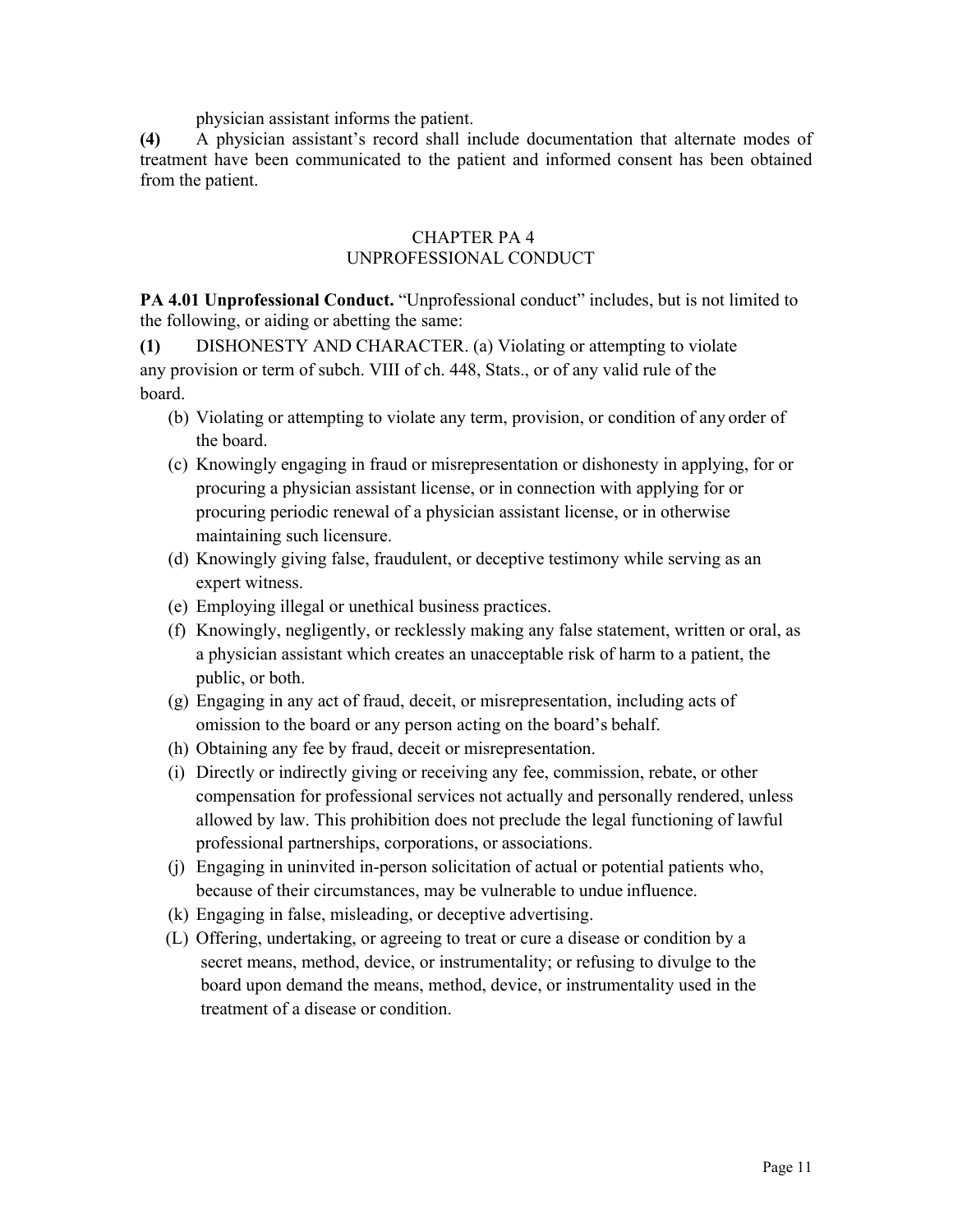physician assistant informs the patient.

**(4)** A physician assistant's record shall include documentation that alternate modes of treatment have been communicated to the patient and informed consent has been obtained from the patient.

#### CHAPTER PA 4 UNPROFESSIONAL CONDUCT

**PA 4.01 Unprofessional Conduct.** "Unprofessional conduct" includes, but is not limited to the following, or aiding or abetting the same:

**(1)** DISHONESTY AND CHARACTER. (a) Violating or attempting to violate any provision or term of subch. VIII of ch. 448, Stats., or of any valid rule of the board.

- (b) Violating or attempting to violate any term, provision, or condition of any order of the board.
- (c) Knowingly engaging in fraud or misrepresentation or dishonesty in applying, for or procuring a physician assistant license, or in connection with applying for or procuring periodic renewal of a physician assistant license, or in otherwise maintaining such licensure.
- (d) Knowingly giving false, fraudulent, or deceptive testimony while serving as an expert witness.
- (e) Employing illegal or unethical business practices.
- (f) Knowingly, negligently, or recklessly making any false statement, written or oral, as a physician assistant which creates an unacceptable risk of harm to a patient, the public, or both.
- (g) Engaging in any act of fraud, deceit, or misrepresentation, including acts of omission to the board or any person acting on the board's behalf.
- (h) Obtaining any fee by fraud, deceit or misrepresentation.
- (i) Directly or indirectly giving or receiving any fee, commission, rebate, or other compensation for professional services not actually and personally rendered, unless allowed by law. This prohibition does not preclude the legal functioning of lawful professional partnerships, corporations, or associations.
- (j) Engaging in uninvited in-person solicitation of actual or potential patients who, because of their circumstances, may be vulnerable to undue influence.
- (k) Engaging in false, misleading, or deceptive advertising.
- (L) Offering, undertaking, or agreeing to treat or cure a disease or condition by a secret means, method, device, or instrumentality; or refusing to divulge to the board upon demand the means, method, device, or instrumentality used in the treatment of a disease or condition.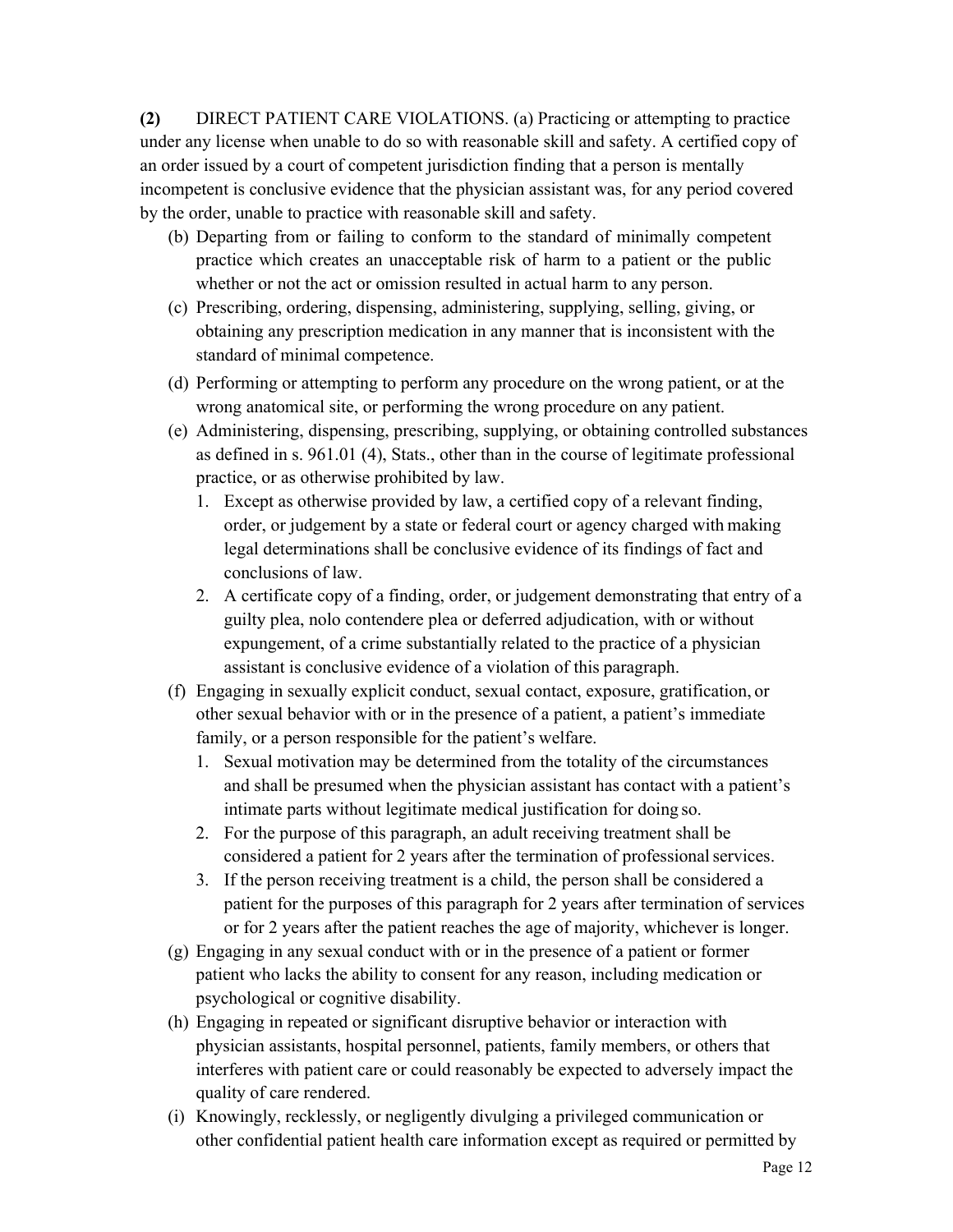**(2)** DIRECT PATIENT CARE VIOLATIONS. (a) Practicing or attempting to practice under any license when unable to do so with reasonable skill and safety. A certified copy of an order issued by a court of competent jurisdiction finding that a person is mentally incompetent is conclusive evidence that the physician assistant was, for any period covered by the order, unable to practice with reasonable skill and safety.

- (b) Departing from or failing to conform to the standard of minimally competent practice which creates an unacceptable risk of harm to a patient or the public whether or not the act or omission resulted in actual harm to any person.
- (c) Prescribing, ordering, dispensing, administering, supplying, selling, giving, or obtaining any prescription medication in any manner that is inconsistent with the standard of minimal competence.
- (d) Performing or attempting to perform any procedure on the wrong patient, or at the wrong anatomical site, or performing the wrong procedure on any patient.
- (e) Administering, dispensing, prescribing, supplying, or obtaining controlled substances as defined in s. 961.01 (4), Stats., other than in the course of legitimate professional practice, or as otherwise prohibited by law.
	- 1. Except as otherwise provided by law, a certified copy of a relevant finding, order, or judgement by a state or federal court or agency charged with making legal determinations shall be conclusive evidence of its findings of fact and conclusions of law.
	- 2. A certificate copy of a finding, order, or judgement demonstrating that entry of a guilty plea, nolo contendere plea or deferred adjudication, with or without expungement, of a crime substantially related to the practice of a physician assistant is conclusive evidence of a violation of this paragraph.
- (f) Engaging in sexually explicit conduct, sexual contact, exposure, gratification, or other sexual behavior with or in the presence of a patient, a patient's immediate family, or a person responsible for the patient's welfare.
	- 1. Sexual motivation may be determined from the totality of the circumstances and shall be presumed when the physician assistant has contact with a patient's intimate parts without legitimate medical justification for doing so.
	- 2. For the purpose of this paragraph, an adult receiving treatment shall be considered a patient for 2 years after the termination of professionalservices.
	- 3. If the person receiving treatment is a child, the person shall be considered a patient for the purposes of this paragraph for 2 years after termination of services or for 2 years after the patient reaches the age of majority, whichever is longer.
- (g) Engaging in any sexual conduct with or in the presence of a patient or former patient who lacks the ability to consent for any reason, including medication or psychological or cognitive disability.
- (h) Engaging in repeated or significant disruptive behavior or interaction with physician assistants, hospital personnel, patients, family members, or others that interferes with patient care or could reasonably be expected to adversely impact the quality of care rendered.
- (i) Knowingly, recklessly, or negligently divulging a privileged communication or other confidential patient health care information except as required or permitted by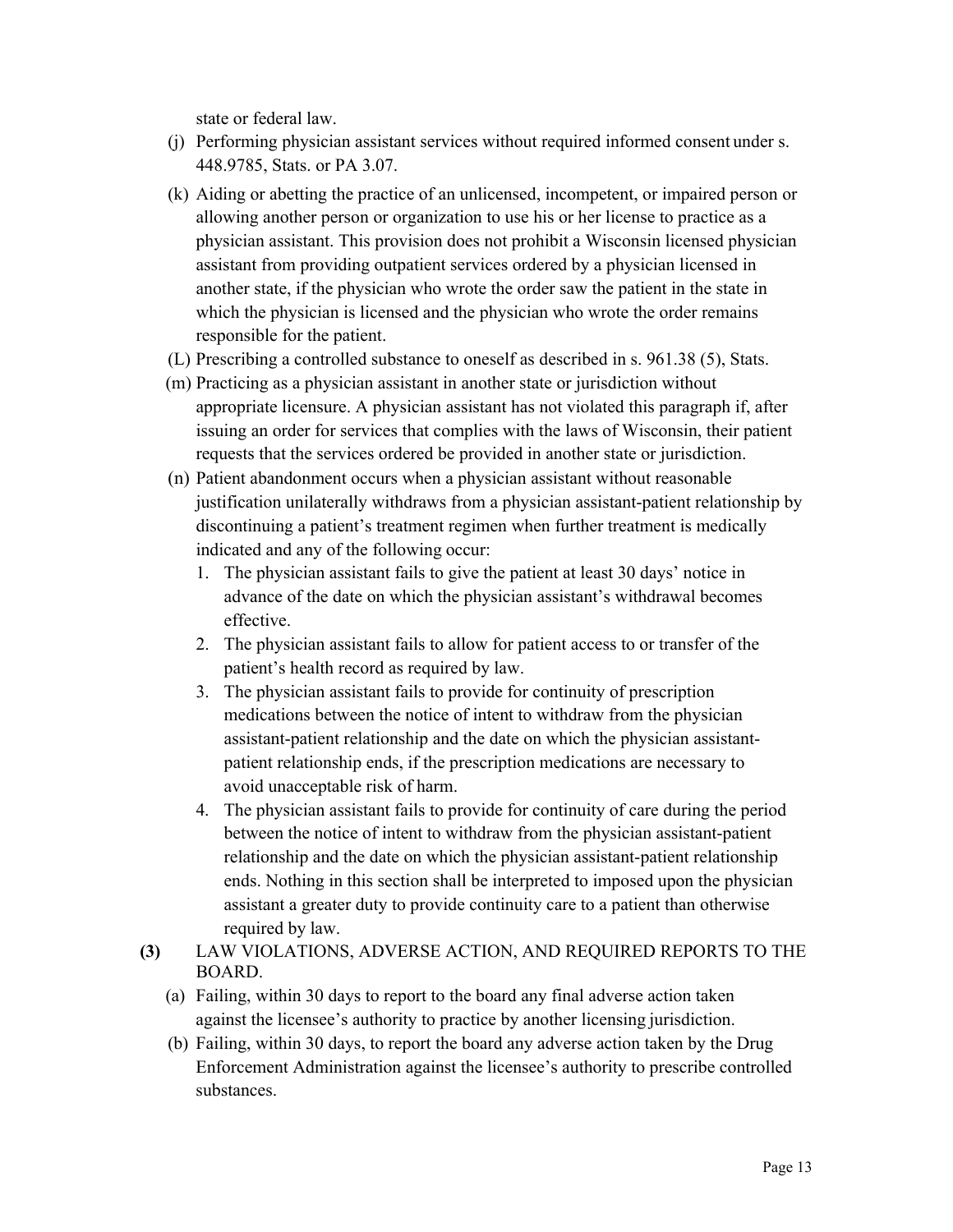state or federal law.

- (j) Performing physician assistant services without required informed consent under s. 448.9785, Stats. or PA 3.07.
- (k) Aiding or abetting the practice of an unlicensed, incompetent, or impaired person or allowing another person or organization to use his or her license to practice as a physician assistant. This provision does not prohibit a Wisconsin licensed physician assistant from providing outpatient services ordered by a physician licensed in another state, if the physician who wrote the order saw the patient in the state in which the physician is licensed and the physician who wrote the order remains responsible for the patient.
- (L) Prescribing a controlled substance to oneself as described in s. 961.38 (5), Stats.
- (m) Practicing as a physician assistant in another state or jurisdiction without appropriate licensure. A physician assistant has not violated this paragraph if, after issuing an order for services that complies with the laws of Wisconsin, their patient requests that the services ordered be provided in another state or jurisdiction.
- (n) Patient abandonment occurs when a physician assistant without reasonable justification unilaterally withdraws from a physician assistant-patient relationship by discontinuing a patient's treatment regimen when further treatment is medically indicated and any of the following occur:
	- 1. The physician assistant fails to give the patient at least 30 days' notice in advance of the date on which the physician assistant's withdrawal becomes effective.
	- 2. The physician assistant fails to allow for patient access to or transfer of the patient's health record as required by law.
	- 3. The physician assistant fails to provide for continuity of prescription medications between the notice of intent to withdraw from the physician assistant-patient relationship and the date on which the physician assistantpatient relationship ends, if the prescription medications are necessary to avoid unacceptable risk of harm.
	- 4. The physician assistant fails to provide for continuity of care during the period between the notice of intent to withdraw from the physician assistant-patient relationship and the date on which the physician assistant-patient relationship ends. Nothing in this section shall be interpreted to imposed upon the physician assistant a greater duty to provide continuity care to a patient than otherwise required by law.
- **(3)** LAW VIOLATIONS, ADVERSE ACTION, AND REQUIRED REPORTS TO THE BOARD.
	- (a) Failing, within 30 days to report to the board any final adverse action taken against the licensee's authority to practice by another licensing jurisdiction.
	- (b) Failing, within 30 days, to report the board any adverse action taken by the Drug Enforcement Administration against the licensee's authority to prescribe controlled substances.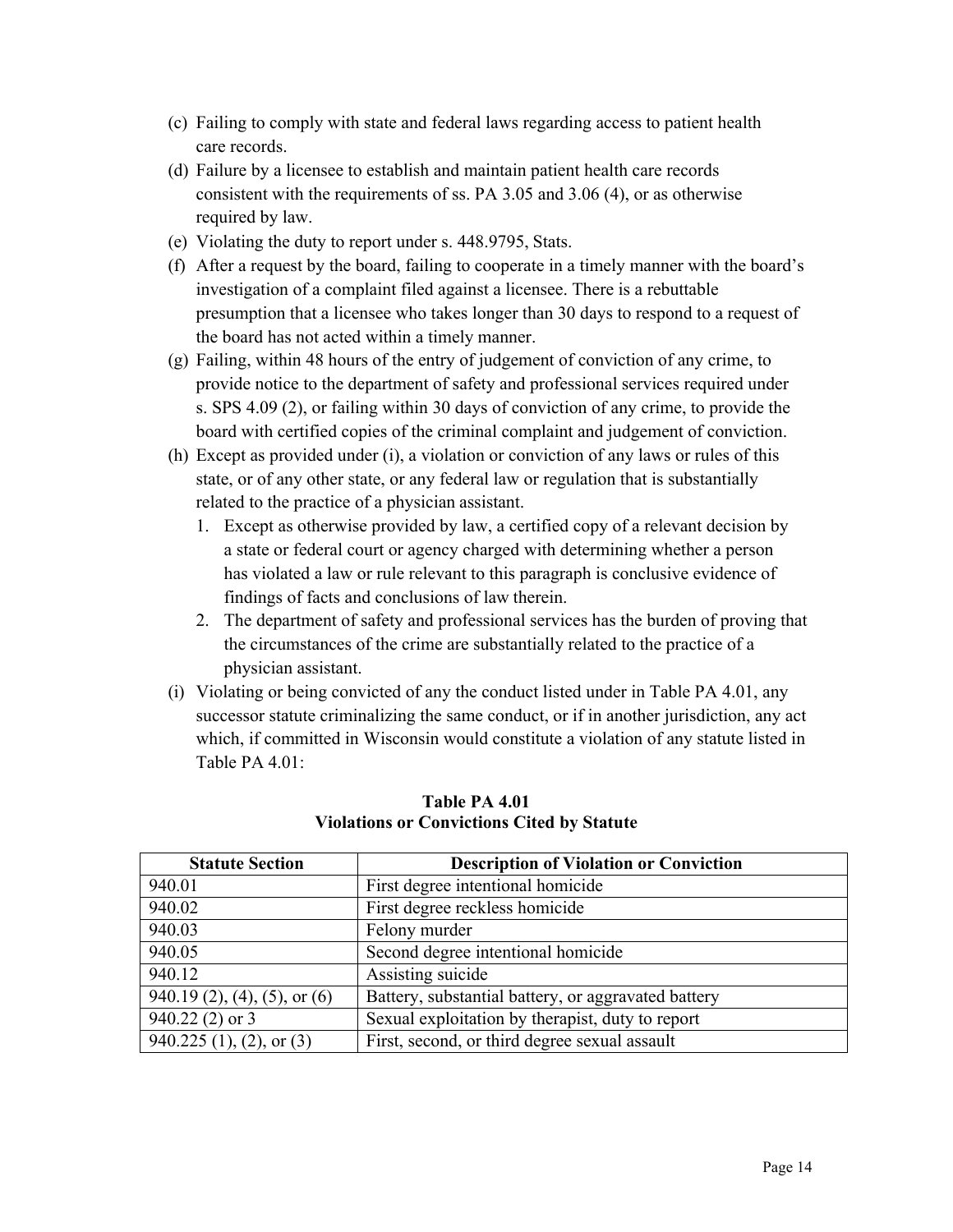- (c) Failing to comply with state and federal laws regarding access to patient health care records.
- (d) Failure by a licensee to establish and maintain patient health care records consistent with the requirements of ss. PA 3.05 and 3.06 (4), or as otherwise required by law.
- (e) Violating the duty to report under s. 448.9795, Stats.
- (f) After a request by the board, failing to cooperate in a timely manner with the board's investigation of a complaint filed against a licensee. There is a rebuttable presumption that a licensee who takes longer than 30 days to respond to a request of the board has not acted within a timely manner.
- (g) Failing, within 48 hours of the entry of judgement of conviction of any crime, to provide notice to the department of safety and professional services required under s. SPS 4.09 (2), or failing within 30 days of conviction of any crime, to provide the board with certified copies of the criminal complaint and judgement of conviction.
- (h) Except as provided under (i), a violation or conviction of any laws or rules of this state, or of any other state, or any federal law or regulation that is substantially related to the practice of a physician assistant.
	- 1. Except as otherwise provided by law, a certified copy of a relevant decision by a state or federal court or agency charged with determining whether a person has violated a law or rule relevant to this paragraph is conclusive evidence of findings of facts and conclusions of law therein.
	- 2. The department of safety and professional services has the burden of proving that the circumstances of the crime are substantially related to the practice of a physician assistant.
- (i) Violating or being convicted of any the conduct listed under in Table PA 4.01, any successor statute criminalizing the same conduct, or if in another jurisdiction, any act which, if committed in Wisconsin would constitute a violation of any statute listed in Table PA 4.01:

| <b>Statute Section</b>       | <b>Description of Violation or Conviction</b>       |
|------------------------------|-----------------------------------------------------|
| 940.01                       | First degree intentional homicide                   |
| 940.02                       | First degree reckless homicide                      |
| 940.03                       | Felony murder                                       |
| 940.05                       | Second degree intentional homicide                  |
| 940.12                       | Assisting suicide                                   |
| 940.19 (2), (4), (5), or (6) | Battery, substantial battery, or aggravated battery |
| $940.22(2)$ or 3             | Sexual exploitation by therapist, duty to report    |
| 940.225 (1), (2), or (3)     | First, second, or third degree sexual assault       |

**Table PA 4.01 Violations or Convictions Cited by Statute**